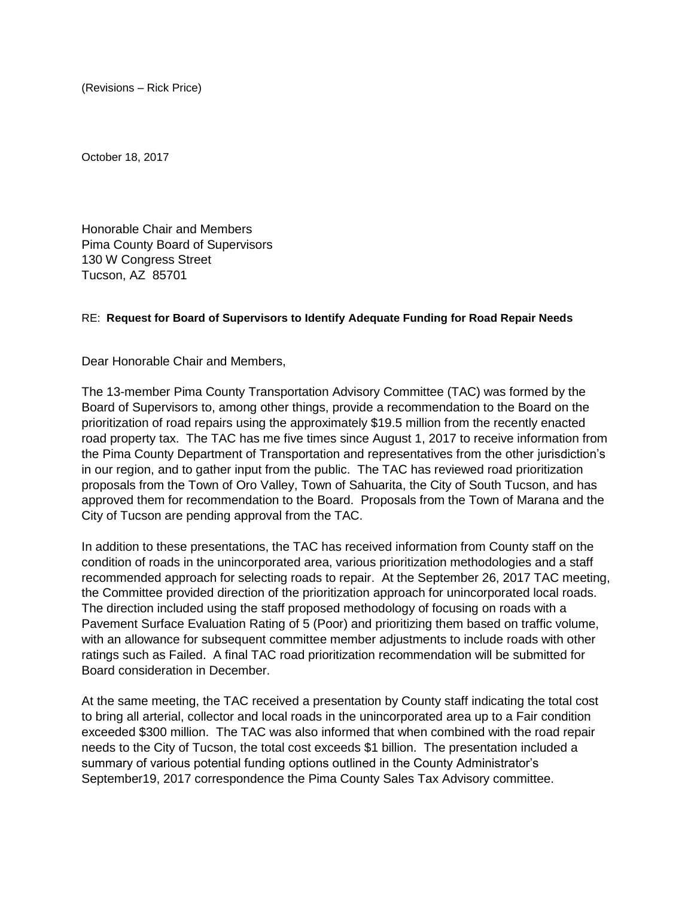(Revisions – Rick Price)

October 18, 2017

Honorable Chair and Members Pima County Board of Supervisors 130 W Congress Street Tucson, AZ 85701

## RE: **Request for Board of Supervisors to Identify Adequate Funding for Road Repair Needs**

Dear Honorable Chair and Members,

The 13-member Pima County Transportation Advisory Committee (TAC) was formed by the Board of Supervisors to, among other things, provide a recommendation to the Board on the prioritization of road repairs using the approximately \$19.5 million from the recently enacted road property tax. The TAC has me five times since August 1, 2017 to receive information from the Pima County Department of Transportation and representatives from the other jurisdiction's in our region, and to gather input from the public. The TAC has reviewed road prioritization proposals from the Town of Oro Valley, Town of Sahuarita, the City of South Tucson, and has approved them for recommendation to the Board. Proposals from the Town of Marana and the City of Tucson are pending approval from the TAC.

In addition to these presentations, the TAC has received information from County staff on the condition of roads in the unincorporated area, various prioritization methodologies and a staff recommended approach for selecting roads to repair. At the September 26, 2017 TAC meeting, the Committee provided direction of the prioritization approach for unincorporated local roads. The direction included using the staff proposed methodology of focusing on roads with a Pavement Surface Evaluation Rating of 5 (Poor) and prioritizing them based on traffic volume, with an allowance for subsequent committee member adjustments to include roads with other ratings such as Failed. A final TAC road prioritization recommendation will be submitted for Board consideration in December.

At the same meeting, the TAC received a presentation by County staff indicating the total cost to bring all arterial, collector and local roads in the unincorporated area up to a Fair condition exceeded \$300 million. The TAC was also informed that when combined with the road repair needs to the City of Tucson, the total cost exceeds \$1 billion. The presentation included a summary of various potential funding options outlined in the County Administrator's September19, 2017 correspondence the Pima County Sales Tax Advisory committee.